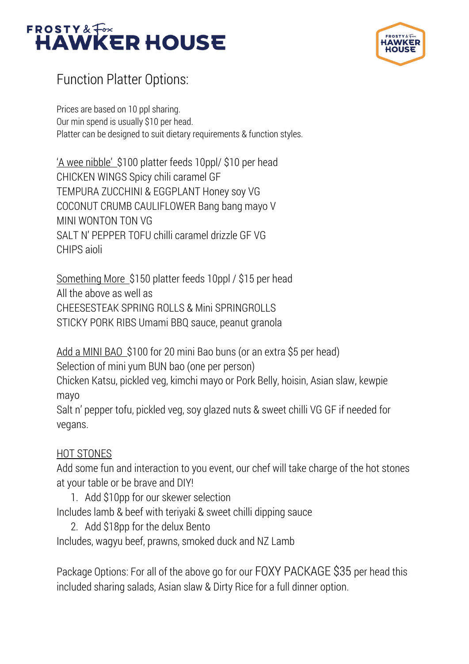



## Function Platter Options:

Prices are based on 10 ppl sharing. Our min spend is usually \$10 per head. Platter can be designed to suit dietary requirements & function styles.

'A wee nibble' \$100 platter feeds 10ppl/ \$10 per head CHICKEN WINGS Spicy chili caramel GF TEMPURA ZUCCHINI & EGGPLANT Honey soy VG COCONUT CRUMB CAULIFLOWER Bang bang mayo V MINI WONTON TON VG SALT N' PEPPER TOFU chilli caramel drizzle GF VG CHIPS aioli

Something More \$150 platter feeds 10ppl / \$15 per head All the above as well as CHEESESTEAK SPRING ROLLS & Mini SPRINGROLLS STICKY PORK RIBS Umami BBQ sauce, peanut granola

Add a MINI BAO \$100 for 20 mini Bao buns (or an extra \$5 per head) Selection of mini yum BUN bao (one per person) Chicken Katsu, pickled veg, kimchi mayo or Pork Belly, hoisin, Asian slaw, kewpie mayo

Salt n' pepper tofu, pickled veg, soy glazed nuts & sweet chilli VG GF if needed for vegans.

## HOT STONES

Add some fun and interaction to you event, our chef will take charge of the hot stones at your table or be brave and DIY!

1. Add \$10pp for our skewer selection

Includes lamb & beef with teriyaki & sweet chilli dipping sauce

2. Add \$18pp for the delux Bento

Includes, wagyu beef, prawns, smoked duck and NZ Lamb

Package Options: For all of the above go for our FOXY PACKAGE \$35 per head this included sharing salads, Asian slaw & Dirty Rice for a full dinner option.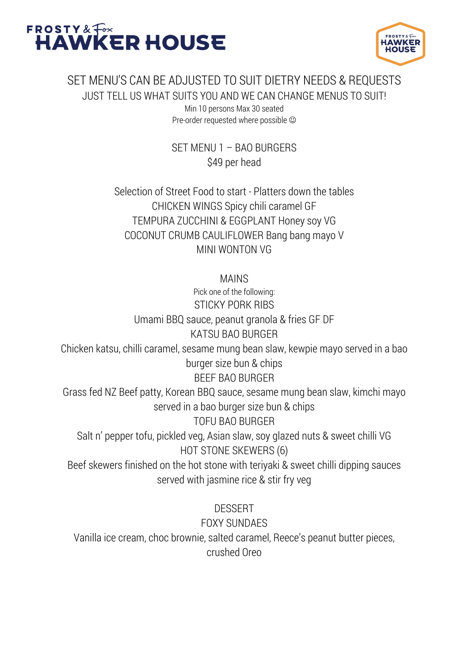



## SET MENU'S CAN BE ADJUSTED TO SUIT DIETRY NEEDS & REQUESTS JUST TELL US WHAT SUITS YOU AND WE CAN CHANGE MENUS TO SUIT! Min 10 persons Max 30 seated Pre-order requested where possible  $\odot$

SET MENU 1 – BAO BURGERS \$49 per head

Selection of Street Food to start - Platters down the tables CHICKEN WINGS Spicy chili caramel GF TEMPURA ZUCCHINI & EGGPLANT Honey soy VG COCONUT CRUMB CAULIFLOWER Bang bang mayo V MINI WONTON VG

MAINS

Pick one of the following: STICKY PORK RIBS Umami BBQ sauce, peanut granola & fries GF DF KATSU BAO BURGER Chicken katsu, chilli caramel, sesame mung bean slaw, kewpie mayo served in a bao burger size bun & chips BEEF BAO BURGER Grass fed NZ Beef patty, Korean BBQ sauce, sesame mung bean slaw, kimchi mayo served in a bao burger size bun & chips TOFU BAO BURGER Salt n' pepper tofu, pickled veg, Asian slaw, soy glazed nuts & sweet chilli VG HOT STONE SKEWERS (6) Beef skewers finished on the hot stone with teriyaki & sweet chilli dipping sauces served with jasmine rice & stir fry veg **DESSERT** 

FOXY SUNDAES Vanilla ice cream, choc brownie, salted caramel, Reece's peanut butter pieces, crushed Oreo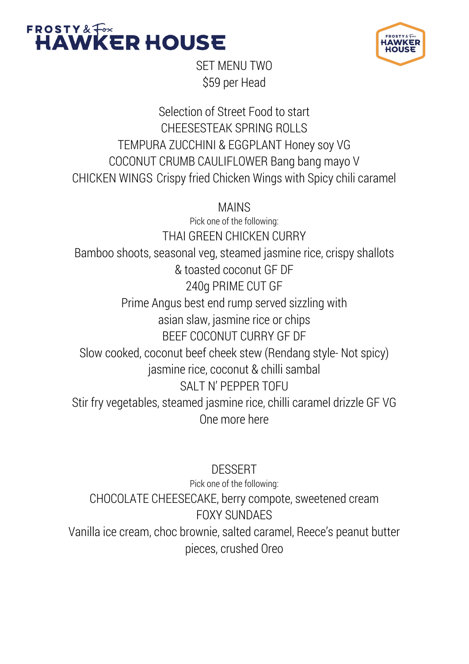



SET MENU TWO \$59 per Head

Selection of Street Food to start CHEESESTEAK SPRING ROLLS TEMPURA ZUCCHINI & EGGPLANT Honey soy VG COCONUT CRUMB CAULIFLOWER Bang bang mayo V CHICKEN WINGS Crispy fried Chicken Wings with Spicy chili caramel

MAINS Pick one of the following: THAI GREEN CHICKEN CURRY Bamboo shoots, seasonal veg, steamed jasmine rice, crispy shallots & toasted coconut GF DF 240g PRIME CUT GF Prime Angus best end rump served sizzling with asian slaw, jasmine rice or chips BEEF COCONUT CURRY GF DF Slow cooked, coconut beef cheek stew (Rendang style- Not spicy) jasmine rice, coconut & chilli sambal SALT N' PEPPER TOFIL Stir fry vegetables, steamed jasmine rice, chilli caramel drizzle GF VG One more here

DESSERT Pick one of the following: CHOCOLATE CHEESECAKE, berry compote, sweetened cream FOXY SUNDAES Vanilla ice cream, choc brownie, salted caramel, Reece's peanut butter pieces, crushed Oreo